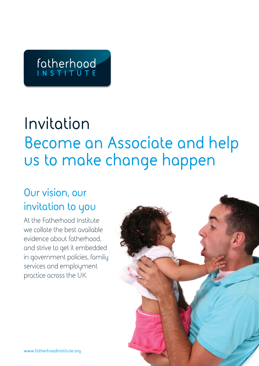# fatherhood

## **Invitation Become an Associate and help us to make change happen**

## **Our vision, our invitation to you**

At the Fatherhood Institute we collate the best available evidence about fatherhood, and strive to get it embedded in government policies, family services and employment practice across the UK.

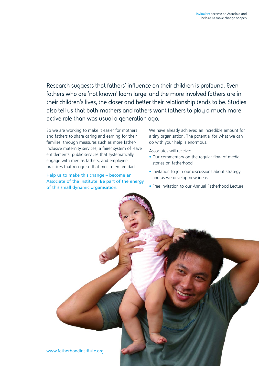**Research suggests that fathers' influence on their children is profound. Even fathers who are 'not known' loom large; and the more involved fathers are in their children's lives, the closer and better their relationship tends to be. Studies also tell us that both mothers and fathers want fathers to play a much more active role than was usual a generation ago.** 

So we are working to make it easier for mothers and fathers to share caring and earning for their families, through measures such as more fatherinclusive maternity services, a fairer system of leave entitlements, public services that systematically engage with men as fathers, and employerpractices that recognise that most men are dads.

Help us to make this change – become an Associate of the Institute. Be part of the energy of this small dynamic organisation.

We have already achieved an incredible amount for a tiny organisation. The potential for what we can do with your help is enormous.

Associates will receive:

- Our commentary on the regular flow of media stories on fatherhood
- Invitation to join our discussions about strategy and as we develop new ideas
- Free invitation to our Annual Fatherhood Lecture

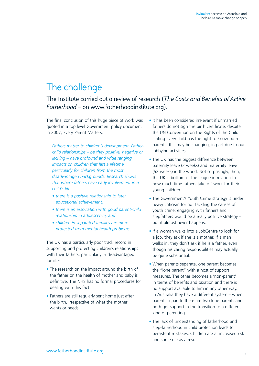## **The challenge**

**The Institute carried out a review of research (***The Costs and Benefits of Active Fatherhood* **– on www.fatherhoodinstitute.org).**

The final conclusion of this huge piece of work was quoted in a top level Government policy document in 2007, Every Parent Matters:

*Fathers matter to children's development. Fatherchild relationships – be they positive, negative or lacking – have profound and wide ranging impacts on children that last a lifetime, particularly for children from the most disadvantaged backgrounds. Research shows that where fathers have early involvement in a child's life:*

- *there is a positive relationship to later educational achievement;*
- *there is an association with good parent-child relationship in adolescence; and*
- *children in separated families are more protected from mental health problems.*

The UK has a particularly poor track record in supporting and protecting children's relationships with their fathers, particularly in disadvantaged families.

- The research on the impact around the birth of the father on the health of mother and baby is definitive. The NHS has no formal procedures for dealing with this fact.
- Fathers are still regularly sent home just after the birth, irrespective of what the mother wants or needs.
- It has been considered irrelevant if unmarried fathers do not sign the birth certificate, despite the UN Convention on the Rights of the Child stating every child has the right to know both parents: this may be changing, in part due to our lobbying activities.
- The UK has the biggest difference between paternity leave (2 weeks) and maternity leave (52 weeks) in the world. Not surprisingly, then, the UK is bottom of the league in relation to how much time fathers take off work for their young children.
- The Government's Youth Crime strategy is under heavy criticism for not tackling the causes of youth crime: engaging with fathers and stepfathers would be a really positive strategy – but it almost never happens.
- If a woman walks into a JobCentre to look for a job, they ask if she is a mother. If a man walks in, they don't ask if he is a father, even though his caring responsibilities may actually be quite substantial.
- When parents separate, one parent becomes the "lone parent" with a host of support measures. The other becomes a 'non-parent' in terms of benefits and taxation and there is no support available to him in any other way. In Australia they have a different system – when parents separate there are two lone parents and both get support in the transition to a different kind of parenting.
- The lack of understanding of fatherhood and step-fatherhood in child protection leads to persistent mistakes. Children are at increased risk and some die as a result.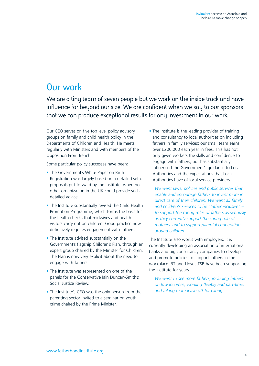### **Our work**

**We are a tiny team of seven people but we work on the inside track and have influence far beyond our size. We are confident when we say to our sponsors that we can produce exceptional results for any investment in our work.**

Our CEO serves on five top level policy advisory groups on family and child health policy in the Departments of Children and Health. He meets regularly with Ministers and with members of the Opposition Front Bench.

Some particular policy successes have been:

- The Government's White Paper on Birth Registration was largely based on a detailed set of proposals put forward by the Institute, when no other organization in the UK could provide such detailed advice.
- The Institute substantially revised the Child Health Promotion Programme, which forms the basis for the health checks that midwives and health visitors carry out on children. Good practice now definitively requires engagement with fathers.
- The Institute advised substantially on the Government's flagship Children's Plan, through an expert group chaired by the Minister for Children. The Plan is now very explicit about the need to engage with fathers.
- The Institute was represented on one of the panels for the Conservative Iain Duncan-Smith's Social Justice Review.
- The Institute's CEO was the only person from the parenting sector invited to a seminar on youth crime chaired by the Prime Minister.

• The Institute is the leading provider of training and consultancy to local authorities on including fathers in family services; our small team earns over £200,000 each year in fees. This has not only given workers the skills and confidence to engage with fathers, but has substantially influenced the Government's guidance to Local Authorities and the expectations that Local Authorities have of local service-providers.

*We want laws, policies and public services that enable and encourage fathers to invest more in direct care of their children. We want all family and children's services to be "father inclusive" – to support the caring roles of fathers as seriously as they currently support the caring role of mothers, and to support parental cooperation around children.*

The Institute also works with employers. It is currently developing an association of international banks and big consultancy companies to develop and promote policies to support fathers in the workplace. BT and Lloyds TSB have been supporting the Institute for years.

*We want to see more fathers, including fathers on low incomes, working flexibly and part-time, and taking more leave off for caring.*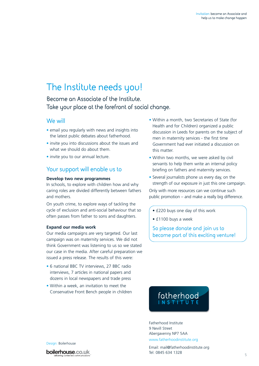## **The Institute needs you!**

**Become an Associate of the Institute. Take your place at the forefront of social change.** 

#### **We will**

- email you regularly with news and insights into the latest public debates about fatherhood.
- invite you into discussions about the issues and what we should do about them.
- invite you to our annual lecture.

#### **Your support will enable us to**

#### **Develop two new programmes**

In schools, to explore with children how and why caring roles are divided differently between fathers and mothers.

On youth crime, to explore ways of tackling the cycle of exclusion and anti-social behaviour that so often passes from father to sons and daughters.

#### **Expand our media work**

Our media campaigns are very targeted. Our last campaign was on maternity services. We did not think Government was listening to us so we stated our case in the media. After careful preparation we issued a press release. The results of this were:

- 6 national BBC TV interviews, 27 BBC radio interviews, 7 articles in national papers and dozens in local newspapers and trade press
- Within a week, an invitation to meet the Conservative Front Bench people in children
- Within a month, two Secretaries of State (for Health and for Children) organized a public discussion in Leeds for parents on the subject of men in maternity services - the first time Government had ever initiated a discussion on this matter.
- Within two months, we were asked by civil servants to help them write an internal policy briefing on fathers and maternity services.
- Several journalists phone us every day, on the strength of our exposure in just this one campaign.

Only with more resources can we continue such public promotion – and make a really big difference.

• £220 buys one day of this work

• £1100 buys a week

**So please donate and join us to become part of this exciting venture!**



Fatherhood Institute 9 Nevill Street Abergavenny NP7 5AA

www.fatherhoodinstitute.org

Email: mail@fatherhoodinstitute.org Tel: 0845 634 1328

Design: Boilerhouse

boilerhouse.co.uk